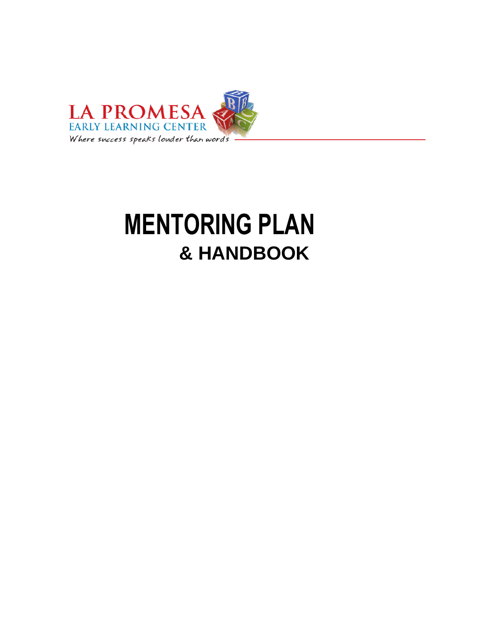

# **MENTORING PLAN & HANDBOOK**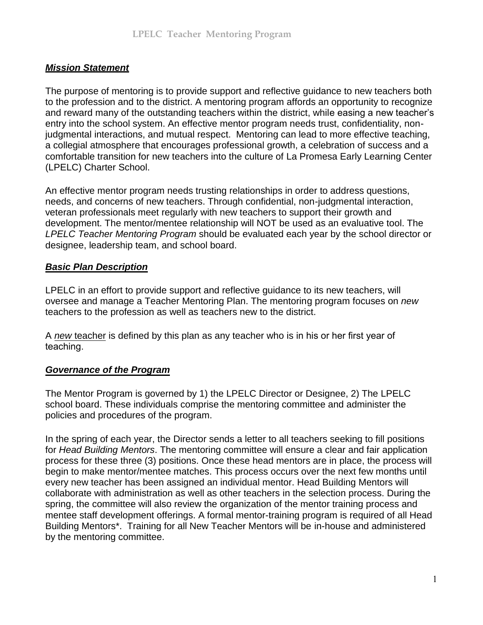#### *Mission Statement*

The purpose of mentoring is to provide support and reflective guidance to new teachers both to the profession and to the district. A mentoring program affords an opportunity to recognize and reward many of the outstanding teachers within the district, while easing a new teacher's entry into the school system. An effective mentor program needs trust, confidentiality, nonjudgmental interactions, and mutual respect. Mentoring can lead to more effective teaching, a collegial atmosphere that encourages professional growth, a celebration of success and a comfortable transition for new teachers into the culture of La Promesa Early Learning Center (LPELC) Charter School.

An effective mentor program needs trusting relationships in order to address questions, needs, and concerns of new teachers. Through confidential, non-judgmental interaction, veteran professionals meet regularly with new teachers to support their growth and development. The mentor/mentee relationship will NOT be used as an evaluative tool. The *LPELC Teacher Mentoring Program* should be evaluated each year by the school director or designee, leadership team, and school board.

#### *Basic Plan Description*

LPELC in an effort to provide support and reflective guidance to its new teachers, will oversee and manage a Teacher Mentoring Plan. The mentoring program focuses on *new*  teachers to the profession as well as teachers new to the district.

A *new* teacher is defined by this plan as any teacher who is in his or her first year of teaching.

#### *Governance of the Program*

The Mentor Program is governed by 1) the LPELC Director or Designee, 2) The LPELC school board. These individuals comprise the mentoring committee and administer the policies and procedures of the program.

In the spring of each year, the Director sends a letter to all teachers seeking to fill positions for *Head Building Mentors*. The mentoring committee will ensure a clear and fair application process for these three (3) positions. Once these head mentors are in place, the process will begin to make mentor/mentee matches. This process occurs over the next few months until every new teacher has been assigned an individual mentor. Head Building Mentors will collaborate with administration as well as other teachers in the selection process. During the spring, the committee will also review the organization of the mentor training process and mentee staff development offerings. A formal mentor-training program is required of all Head Building Mentors\*. Training for all New Teacher Mentors will be in-house and administered by the mentoring committee.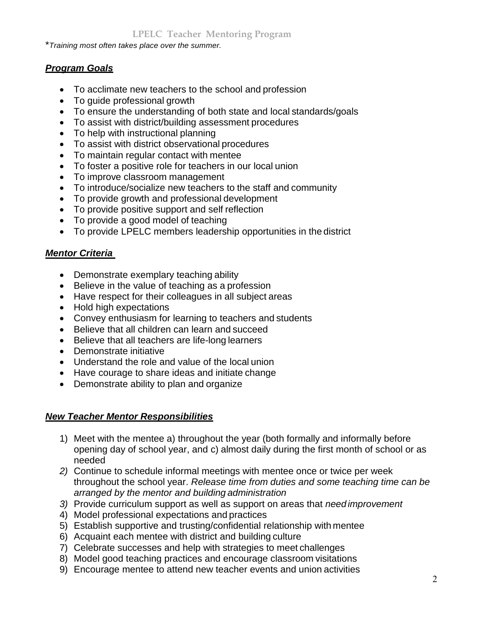\**Training most often takes place over the summer.*

#### *Program Goals*

- To acclimate new teachers to the school and profession
- To quide professional growth
- To ensure the understanding of both state and local standards/goals
- To assist with district/building assessment procedures
- To help with instructional planning
- To assist with district observational procedures
- To maintain regular contact with mentee
- To foster a positive role for teachers in our local union
- To improve classroom management
- To introduce/socialize new teachers to the staff and community
- To provide growth and professional development
- To provide positive support and self reflection
- To provide a good model of teaching
- To provide LPELC members leadership opportunities in the district

#### *Mentor Criteria*

- Demonstrate exemplary teaching ability
- Believe in the value of teaching as a profession
- Have respect for their colleagues in all subject areas
- Hold high expectations
- Convey enthusiasm for learning to teachers and students
- Believe that all children can learn and succeed
- Believe that all teachers are life-long learners
- Demonstrate initiative
- Understand the role and value of the local union
- Have courage to share ideas and initiate change
- Demonstrate ability to plan and organize

#### *New Teacher Mentor Responsibilities*

- 1) Meet with the mentee a) throughout the year (both formally and informally before opening day of school year, and c) almost daily during the first month of school or as needed
- *2)* Continue to schedule informal meetings with mentee once or twice per week throughout the school year. *Release time from duties and some teaching time can be arranged by the mentor and building administration*
- *3)* Provide curriculum support as well as support on areas that *need improvement*
- 4) Model professional expectations and practices
- 5) Establish supportive and trusting/confidential relationship with mentee
- 6) Acquaint each mentee with district and building culture
- 7) Celebrate successes and help with strategies to meet challenges
- 8) Model good teaching practices and encourage classroom visitations
- 9) Encourage mentee to attend new teacher events and union activities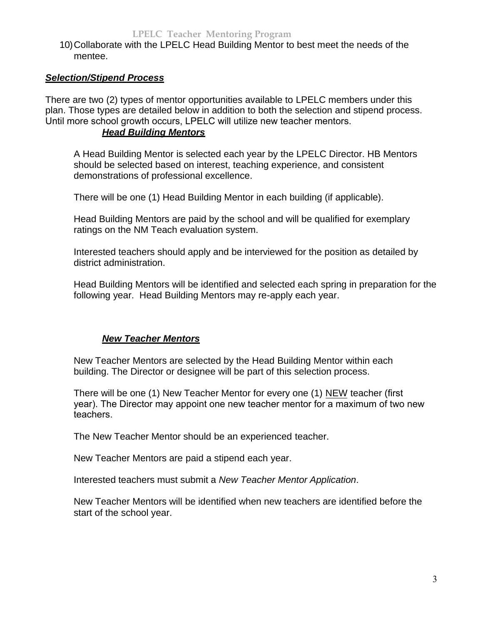10) Collaborate with the LPELC Head Building Mentor to best meet the needs of the mentee.

#### *Selection/Stipend Process*

There are two (2) types of mentor opportunities available to LPELC members under this plan. Those types are detailed below in addition to both the selection and stipend process. Until more school growth occurs, LPELC will utilize new teacher mentors.

#### *Head Building Mentors*

A Head Building Mentor is selected each year by the LPELC Director. HB Mentors should be selected based on interest, teaching experience, and consistent demonstrations of professional excellence.

There will be one (1) Head Building Mentor in each building (if applicable).

Head Building Mentors are paid by the school and will be qualified for exemplary ratings on the NM Teach evaluation system.

Interested teachers should apply and be interviewed for the position as detailed by district administration.

Head Building Mentors will be identified and selected each spring in preparation for the following year. Head Building Mentors may re-apply each year.

#### *New Teacher Mentors*

New Teacher Mentors are selected by the Head Building Mentor within each building. The Director or designee will be part of this selection process.

There will be one (1) New Teacher Mentor for every one (1) NEW teacher (first year). The Director may appoint one new teacher mentor for a maximum of two new teachers.

The New Teacher Mentor should be an experienced teacher.

New Teacher Mentors are paid a stipend each year.

Interested teachers must submit a *New Teacher Mentor Application*.

New Teacher Mentors will be identified when new teachers are identified before the start of the school year.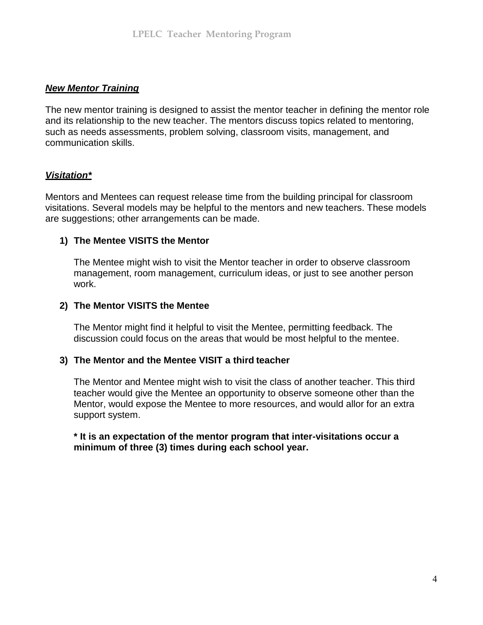#### *New Mentor Training*

The new mentor training is designed to assist the mentor teacher in defining the mentor role and its relationship to the new teacher. The mentors discuss topics related to mentoring, such as needs assessments, problem solving, classroom visits, management, and communication skills.

#### *Visitation\**

Mentors and Mentees can request release time from the building principal for classroom visitations. Several models may be helpful to the mentors and new teachers. These models are suggestions; other arrangements can be made.

#### **1) The Mentee VISITS the Mentor**

The Mentee might wish to visit the Mentor teacher in order to observe classroom management, room management, curriculum ideas, or just to see another person work.

#### **2) The Mentor VISITS the Mentee**

The Mentor might find it helpful to visit the Mentee, permitting feedback. The discussion could focus on the areas that would be most helpful to the mentee.

#### **3) The Mentor and the Mentee VISIT a third teacher**

The Mentor and Mentee might wish to visit the class of another teacher. This third teacher would give the Mentee an opportunity to observe someone other than the Mentor, would expose the Mentee to more resources, and would allor for an extra support system.

**\* It is an expectation of the mentor program that inter-visitations occur a minimum of three (3) times during each school year.**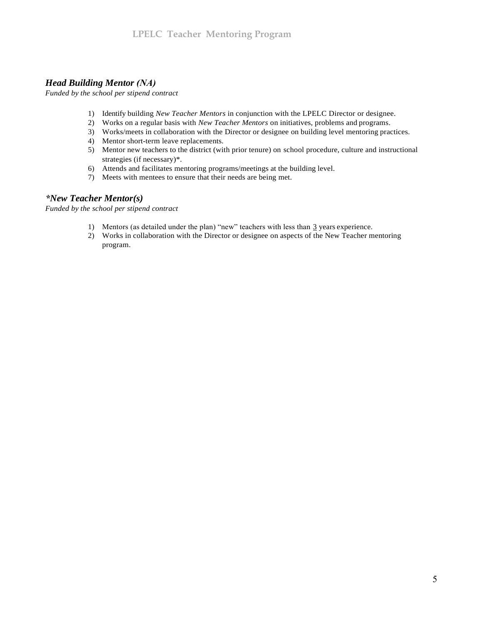#### *Head Building Mentor (NA)*

*Funded by the school per stipend contract*

- 1) Identify building *New Teacher Mentors* in conjunction with the LPELC Director or designee.
- 2) Works on a regular basis with *New Teacher Mentors* on initiatives, problems and programs.
- 3) Works/meets in collaboration with the Director or designee on building level mentoring practices.
- 4) Mentor short-term leave replacements.
- 5) Mentor new teachers to the district (with prior tenure) on school procedure, culture and instructional strategies (if necessary)\*.
- 6) Attends and facilitates mentoring programs/meetings at the building level.
- 7) Meets with mentees to ensure that their needs are being met.

#### *\*New Teacher Mentor(s)*

*Funded by the school per stipend contract*

- 1) Mentors (as detailed under the plan) "new" teachers with less than 3 years experience.
- 2) Works in collaboration with the Director or designee on aspects of the New Teacher mentoring program.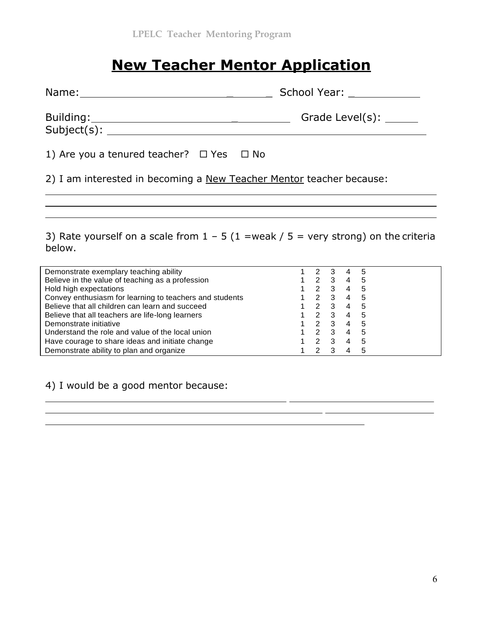# **New Teacher Mentor Application**

| Name:                       | School Year:            |
|-----------------------------|-------------------------|
| Building:<br>$Subject(s)$ : | Grade Level(s): _______ |

| 1) Are you a tenured teacher? $\Box$ Yes $\Box$ No |  |  |
|----------------------------------------------------|--|--|
|----------------------------------------------------|--|--|

2) I am interested in becoming a New Teacher Mentor teacher because:

3) Rate yourself on a scale from  $1 - 5$  (1 =weak / 5 = very strong) on the criteria below.

| Demonstrate exemplary teaching ability                  | 2             |   | 4              | 5 |
|---------------------------------------------------------|---------------|---|----------------|---|
| Believe in the value of teaching as a profession        | 2             | 3 | 4              | 5 |
| Hold high expectations                                  | 2             | 3 | 4              | 5 |
| Convey enthusiasm for learning to teachers and students | 2             | 3 |                | 5 |
| Believe that all children can learn and succeed         | 2             | 3 | 4              | 5 |
| Believe that all teachers are life-long learners        | 2             | 3 |                | 5 |
| Demonstrate initiative                                  | $\mathcal{P}$ | 3 | $\overline{a}$ | 5 |
| Understand the role and value of the local union        | 2             | 3 | 4              | 5 |
| Have courage to share ideas and initiate change         | 2             | 3 |                | 5 |
| Demonstrate ability to plan and organize                |               |   |                | 5 |

4) I would be a good mentor because: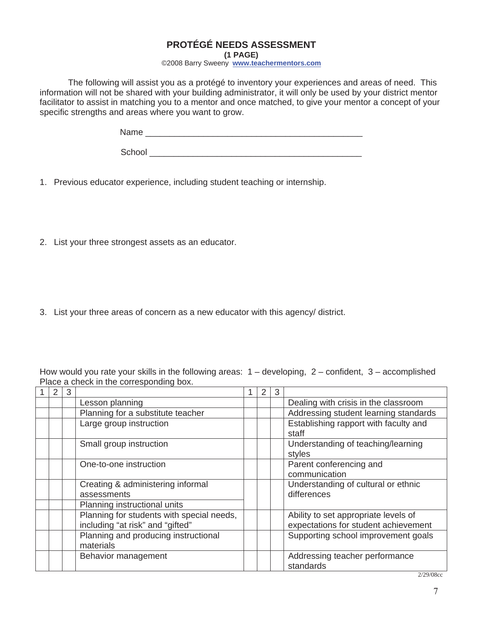#### **PROTÉGÉ NEEDS ASSESSMENT**

**(1 PAGE)** 

©2008 Barry Sweeny **www.teachermentors.com**

The following will assist you as a protégé to inventory your experiences and areas of need. This information will not be shared with your building administrator, it will only be used by your district mentor facilitator to assist in matching you to a mentor and once matched, to give your mentor a concept of your specific strengths and areas where you want to grow.

Name \_\_\_\_\_\_\_\_\_\_\_\_\_\_\_\_\_\_\_\_\_\_\_\_\_\_\_\_\_\_\_\_\_\_\_\_\_\_\_\_\_\_\_\_\_

School \_\_\_\_\_\_\_\_\_\_\_\_\_\_\_\_\_\_\_\_\_\_\_\_\_\_\_\_\_\_\_\_\_\_\_\_\_\_\_\_\_\_\_\_

1. Previous educator experience, including student teaching or internship.

2. List your three strongest assets as an educator.

3. List your three areas of concern as a new educator with this agency/ district.

How would you rate your skills in the following areas:  $1 -$  developing,  $2 -$  confident,  $3 -$  accomplished Place a check in the corresponding box.

| 2 | 3 |                                                                                  | 2 | 3 |                                                                              |
|---|---|----------------------------------------------------------------------------------|---|---|------------------------------------------------------------------------------|
|   |   | Lesson planning                                                                  |   |   | Dealing with crisis in the classroom                                         |
|   |   | Planning for a substitute teacher                                                |   |   | Addressing student learning standards                                        |
|   |   | Large group instruction                                                          |   |   | Establishing rapport with faculty and<br>staff                               |
|   |   | Small group instruction                                                          |   |   | Understanding of teaching/learning<br>styles                                 |
|   |   | One-to-one instruction                                                           |   |   | Parent conferencing and<br>communication                                     |
|   |   | Creating & administering informal<br>assessments<br>Planning instructional units |   |   | Understanding of cultural or ethnic<br>differences                           |
|   |   | Planning for students with special needs,<br>including "at risk" and "gifted"    |   |   | Ability to set appropriate levels of<br>expectations for student achievement |
|   |   | Planning and producing instructional<br>materials                                |   |   | Supporting school improvement goals                                          |
|   |   | Behavior management                                                              |   |   | Addressing teacher performance<br>standards                                  |

2/29/08cc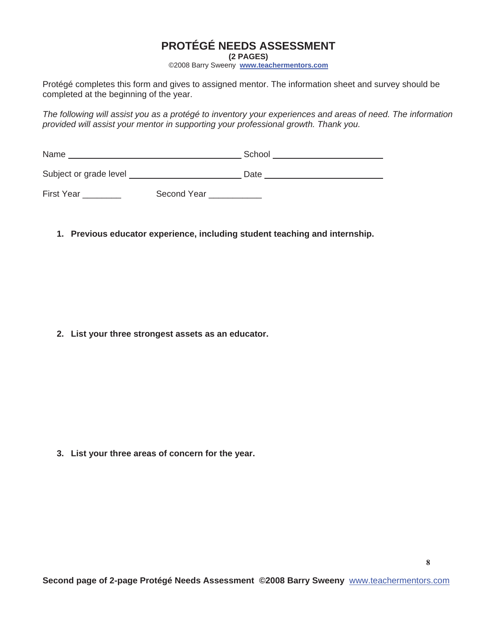### **PROTÉGÉ NEEDS ASSESSMENT**

**(2 PAGES)** 

©2008 Barry Sweeny **www.teachermentors.com**

Protégé completes this form and gives to assigned mentor. The information sheet and survey should be completed at the beginning of the year.

*The following will assist you as a protégé to inventory your experiences and areas of need. The information provided will assist your mentor in supporting your professional growth. Thank you.* 

| Name                   | School |
|------------------------|--------|
| Subject or grade level | Date   |

First Year \_\_\_\_\_\_\_\_\_\_\_ Second Year \_\_\_\_\_\_\_\_\_\_

**1. Previous educator experience, including student teaching and internship.**

**2. List your three strongest assets as an educator.**

**3. List your three areas of concern for the year.**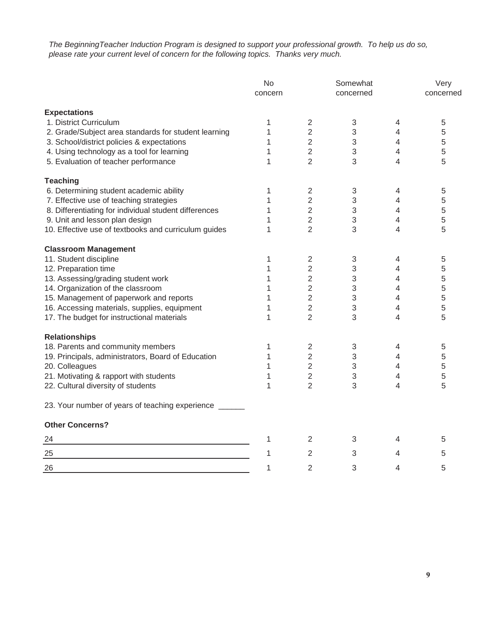*The BeginningTeacher Induction Program is designed to support your professional growth. To help us do so, please rate your current level of concern for the following topics. Thanks very much.*

|                                                        | No<br>concern |                | Somewhat<br>concerned |                          | Very<br>concerned |  |  |
|--------------------------------------------------------|---------------|----------------|-----------------------|--------------------------|-------------------|--|--|
| <b>Expectations</b>                                    |               |                |                       |                          |                   |  |  |
| 1. District Curriculum                                 | 1             | $\sqrt{2}$     | 3                     | 4                        | 5                 |  |  |
| 2. Grade/Subject area standards for student learning   | 1             | $\overline{2}$ | 3                     | 4                        | 5                 |  |  |
| 3. School/district policies & expectations             | 1             | $\overline{2}$ | 3                     | 4                        | 5                 |  |  |
| 4. Using technology as a tool for learning             | 1             | $\overline{2}$ | 3                     | 4                        | 5                 |  |  |
| 5. Evaluation of teacher performance                   | 1             | $\overline{2}$ | 3                     | $\overline{\mathcal{A}}$ | 5                 |  |  |
| <b>Teaching</b>                                        |               |                |                       |                          |                   |  |  |
| 6. Determining student academic ability                | 1             | 2              | 3                     | 4                        | 5                 |  |  |
| 7. Effective use of teaching strategies                | 1             | $\overline{2}$ | 3                     | 4                        | 5                 |  |  |
| 8. Differentiating for individual student differences  | 1             | $\overline{2}$ | 3                     | 4                        | 5                 |  |  |
| 9. Unit and lesson plan design                         | 1             | $\overline{2}$ | 3                     | $\overline{4}$           | 5                 |  |  |
| 10. Effective use of textbooks and curriculum guides   | 1             | $\overline{2}$ | 3                     | 4                        | 5                 |  |  |
| <b>Classroom Management</b>                            |               |                |                       |                          |                   |  |  |
| 11. Student discipline                                 | 1             | $\sqrt{2}$     | 3                     | 4                        | 5                 |  |  |
| 12. Preparation time                                   | 1             | $\overline{2}$ | 3                     | 4                        | 5                 |  |  |
| 13. Assessing/grading student work                     | 1             | $\overline{2}$ | 3                     | 4                        | 5                 |  |  |
| 14. Organization of the classroom                      | 1             | $\overline{2}$ | 3                     | 4                        | 5                 |  |  |
| 15. Management of paperwork and reports                | 1             | $\overline{2}$ | 3                     | 4                        | 5                 |  |  |
| 16. Accessing materials, supplies, equipment           | 1             | 2              | 3                     | 4                        | 5                 |  |  |
| 17. The budget for instructional materials             | 1             | $\overline{2}$ | 3                     | 4                        | 5                 |  |  |
| <b>Relationships</b>                                   |               |                |                       |                          |                   |  |  |
| 18. Parents and community members                      | 1             | $\overline{2}$ | 3                     | $\overline{4}$           | 5                 |  |  |
| 19. Principals, administrators, Board of Education     | 1             | $\overline{2}$ | 3                     | 4                        | 5                 |  |  |
| 20. Colleagues                                         | 1             | 2              | 3                     | 4                        | 5                 |  |  |
| 21. Motivating & rapport with students                 | 1             | $\overline{2}$ | 3                     | 4                        | 5                 |  |  |
| 22. Cultural diversity of students                     | 1             | $\overline{2}$ | 3                     | 4                        | 5                 |  |  |
| 23. Your number of years of teaching experience ______ |               |                |                       |                          |                   |  |  |
| <b>Other Concerns?</b>                                 |               |                |                       |                          |                   |  |  |
| 24                                                     | 1             | 2              | 3                     | 4                        | 5                 |  |  |
| 25                                                     | 1             | 2              | 3                     | 4                        | 5                 |  |  |
| 26                                                     | 1             | 2              | 3                     | 4                        | 5                 |  |  |